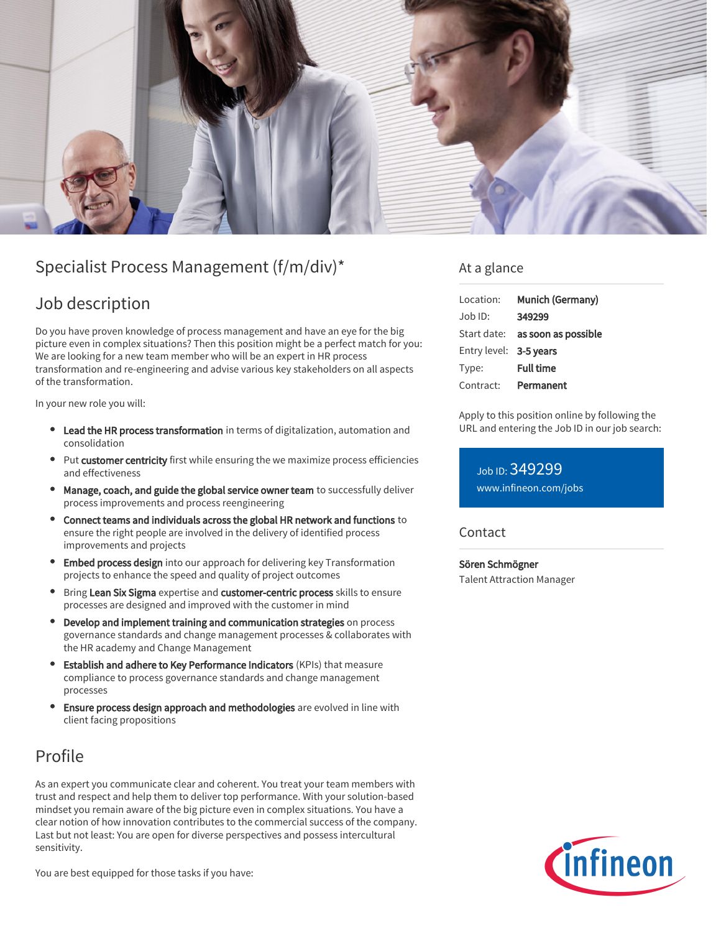

# Specialist Process Management (f/m/div)\*

### Job description

Do you have proven knowledge of process management and have an eye for the big picture even in complex situations? Then this position might be a perfect match for you: We are looking for a new team member who will be an expert in HR process transformation and re-engineering and advise various key stakeholders on all aspects of the transformation.

In your new role you will:

- Lead the HR process transformation in terms of digitalization, automation and consolidation
- Put customer centricity first while ensuring the we maximize process efficiencies and effectiveness
- **Manage, coach, and guide the global service owner team** to successfully deliver process improvements and process reengineering
- Connect teams and individuals across the global HR network and functions to ensure the right people are involved in the delivery of identified process improvements and projects
- Embed process design into our approach for delivering key Transformation projects to enhance the speed and quality of project outcomes
- Bring Lean Six Sigma expertise and customer-centric process skills to ensure processes are designed and improved with the customer in mind
- Develop and implement training and communication strategies on process governance standards and change management processes & collaborates with the HR academy and Change Management
- Establish and adhere to Key Performance Indicators (KPIs) that measure compliance to process governance standards and change management processes
- Ensure process design approach and methodologies are evolved in line with client facing propositions

# Profile

As an expert you communicate clear and coherent. You treat your team members with trust and respect and help them to deliver top performance. With your solution-based mindset you remain aware of the big picture even in complex situations. You have a clear notion of how innovation contributes to the commercial success of the company. Last but not least: You are open for diverse perspectives and possess intercultural sensitivity.

You are best equipped for those tasks if you have:

### At a glance

| Location:              | Munich (Germany)                       |
|------------------------|----------------------------------------|
| $Job$ ID:              | 349299                                 |
|                        | Start date: <b>as soon as possible</b> |
| Entry level: 3-5 years |                                        |
| Type:                  | <b>Full time</b>                       |
| Contract:              | Permanent                              |

Apply to this position online by following the URL and entering the Job ID in our job search:

Job ID: 349299 [www.infineon.com/jobs](https://www.infineon.com/jobs)

#### Contact

Sören Schmögner Talent Attraction Manager